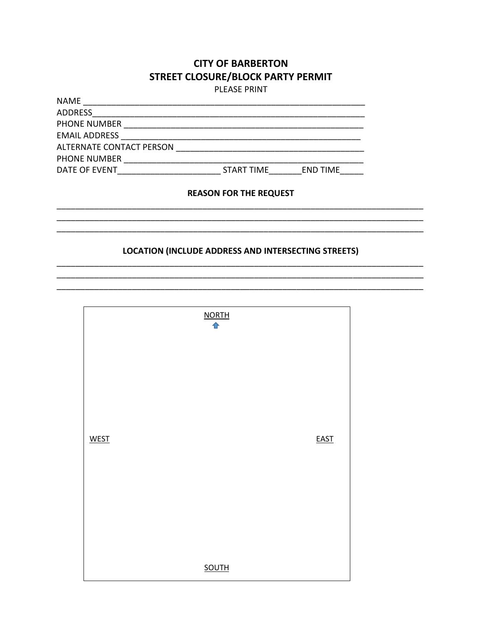## **CITY OF BARBERTON STREET CLOSURE/BLOCK PARTY PERMIT**

**PLEASE PRINT** 

| <b>START TIME</b><br><b>END TIME</b> |
|--------------------------------------|
|                                      |
| <b>REASON FOR THE REQUEST</b>        |
|                                      |
|                                      |

### **LOCATION (INCLUDE ADDRESS AND INTERSECTING STREETS)**